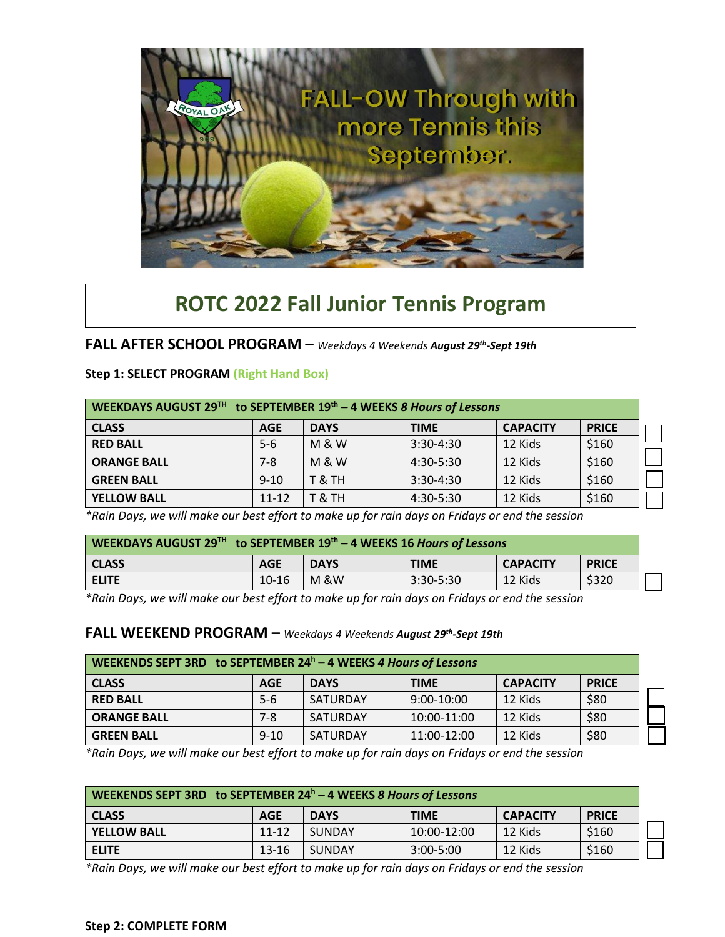

## **ROTC 2022 Fall Junior Tennis Program**

## **FALL AFTER SCHOOL PROGRAM –** *Weekdays 4 Weekends August 29th -Sept 19th*

| WEEKDAYS AUGUST 29 <sup>TH</sup> to SEPTEMBER 19 <sup>th</sup> - 4 WEEKS 8 Hours of Lessons |            |                |             |                 |              |  |
|---------------------------------------------------------------------------------------------|------------|----------------|-------------|-----------------|--------------|--|
| <b>CLASS</b>                                                                                | <b>AGE</b> | <b>DAYS</b>    | <b>TIME</b> | <b>CAPACITY</b> | <b>PRICE</b> |  |
| <b>RED BALL</b>                                                                             | $5-6$      | <b>M&amp;W</b> | $3:30-4:30$ | 12 Kids         | \$160        |  |
| <b>ORANGE BALL</b>                                                                          | 7-8        | <b>M&amp;W</b> | 4:30-5:30   | 12 Kids         | \$160        |  |
| <b>GREEN BALL</b>                                                                           | $9 - 10$   | T & TH         | $3:30-4:30$ | 12 Kids         | \$160        |  |
| <b>YELLOW BALL</b>                                                                          | $11 - 12$  | T & TH         | 4:30-5:30   | 12 Kids         | \$160        |  |

**Step 1: SELECT PROGRAM (Right Hand Box)**

*\*Rain Days, we will make our best effort to make up for rain days on Fridays or end the session*

| WEEKDAYS AUGUST 29 <sup>TH</sup> to SEPTEMBER 19 <sup>th</sup> - 4 WEEKS 16 Hours of Lessons |            |                |             |                 |              |  |
|----------------------------------------------------------------------------------------------|------------|----------------|-------------|-----------------|--------------|--|
| <b>CLASS</b>                                                                                 | <b>AGE</b> | <b>DAYS</b>    | <b>TIME</b> | <b>CAPACITY</b> | <b>PRICE</b> |  |
| <b>ELITE</b>                                                                                 | $10 - 16$  | <b>M&amp;W</b> | 3:30-5:30   | 12 Kids         | \$320        |  |

*\*Rain Days, we will make our best effort to make up for rain days on Fridays or end the session*

## FALL WEEKEND PROGRAM - Weekdays 4 Weekends August 29<sup>th</sup>-Sept 19th

| WEEKENDS SEPT 3RD to SEPTEMBER $24h - 4$ WEEKS 4 Hours of Lessons |          |             |              |                 |              |
|-------------------------------------------------------------------|----------|-------------|--------------|-----------------|--------------|
| <b>CLASS</b>                                                      | AGE      | <b>DAYS</b> | <b>TIME</b>  | <b>CAPACITY</b> | <b>PRICE</b> |
| <b>RED BALL</b>                                                   | $5 - 6$  | SATURDAY    | $9:00-10:00$ | 12 Kids         | \$80         |
| <b>ORANGE BALL</b>                                                | 7-8      | SATURDAY    | 10:00-11:00  | 12 Kids         | \$80         |
| <b>GREEN BALL</b>                                                 | $9 - 10$ | SATURDAY    | 11:00-12:00  | 12 Kids         | \$80         |

*\*Rain Days, we will make our best effort to make up for rain days on Fridays or end the session*

| WEEKENDS SEPT 3RD to SEPTEMBER 24 <sup>h</sup> - 4 WEEKS 8 Hours of Lessons |            |               |               |                 |              |  |
|-----------------------------------------------------------------------------|------------|---------------|---------------|-----------------|--------------|--|
| <b>CLASS</b>                                                                | <b>AGE</b> | <b>DAYS</b>   | <b>TIME</b>   | <b>CAPACITY</b> | <b>PRICE</b> |  |
| <b>YELLOW BALL</b>                                                          | 11-12      | <b>SUNDAY</b> | 10:00-12:00   | 12 Kids         | \$160        |  |
| <b>ELITE</b>                                                                | 13-16      | <b>SUNDAY</b> | $3:00 - 5:00$ | 12 Kids         | \$160        |  |

*\*Rain Days, we will make our best effort to make up for rain days on Fridays or end the session*